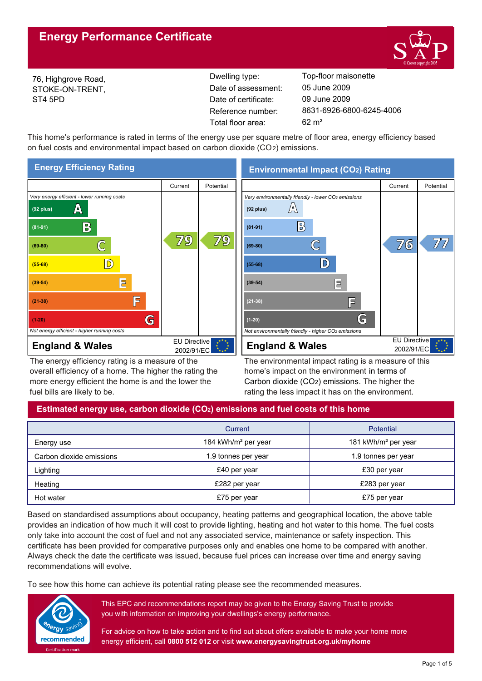

76, Highgrove Road, STOKE-ON-TRENT, ST4 5PD

Reference number: Date of certificate: Total floor area: 62 m² Date of assessment:

Dwelling type: Top-floor maisonette 8631-6926-6800-6245-4006 09 June 2009 05 June 2009

This home's performance is rated in terms of the energy use per square metre of floor area, energy efficiency based on fuel costs and environmental impact based on carbon dioxide (CO2) emissions.



The energy efficiency rating is a measure of the overall efficiency of a home. The higher the rating the more energy efficient the home is and the lower the fuel bills are likely to be.

The environmental impact rating is a measure of this home's impact on the environment in terms of Carbon dioxide (CO2) emissions. The higher the rating the less impact it has on the environment.

# **Estimated energy use, carbon dioxide (CO2) emissions and fuel costs of this home**

|                          | Current                         | <b>Potential</b>                |  |  |  |
|--------------------------|---------------------------------|---------------------------------|--|--|--|
| Energy use               | 184 kWh/m <sup>2</sup> per year | 181 kWh/m <sup>2</sup> per year |  |  |  |
| Carbon dioxide emissions | 1.9 tonnes per year             | 1.9 tonnes per year             |  |  |  |
| Lighting                 | £40 per year                    | £30 per year                    |  |  |  |
| Heating                  | £282 per year                   | £283 per year                   |  |  |  |
| Hot water                | £75 per year                    | £75 per year                    |  |  |  |

Based on standardised assumptions about occupancy, heating patterns and geographical location, the above table provides an indication of how much it will cost to provide lighting, heating and hot water to this home. The fuel costs only take into account the cost of fuel and not any associated service, maintenance or safety inspection. This certificate has been provided for comparative purposes only and enables one home to be compared with another. Always check the date the certificate was issued, because fuel prices can increase over time and energy saving recommendations will evolve.

To see how this home can achieve its potential rating please see the recommended measures.



This EPC and recommendations report may be given to the Energy Saving Trust to provide you with information on improving your dwellings's energy performance.

For advice on how to take action and to find out about offers available to make your home more energy efficient, call **0800 512 012** or visit **www.energysavingtrust.org.uk/myhome**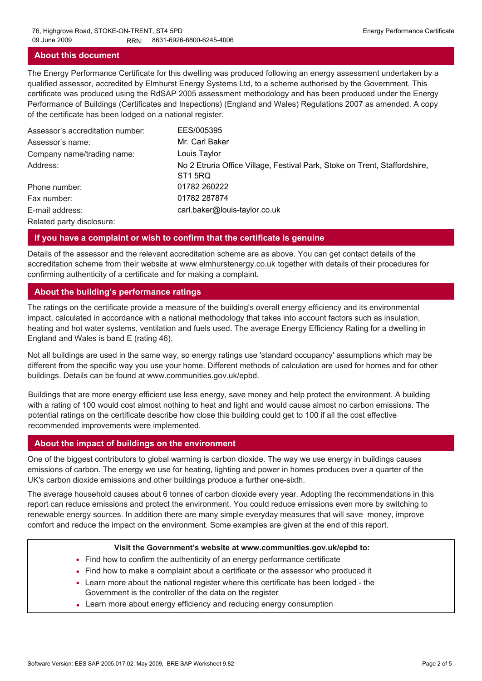# **About this document**

The Energy Performance Certificate for this dwelling was produced following an energy assessment undertaken by a qualified assessor, accredited by Elmhurst Energy Systems Ltd, to a scheme authorised by the Government. This certificate was produced using the RdSAP 2005 assessment methodology and has been produced under the Energy Performance of Buildings (Certificates and Inspections) (England and Wales) Regulations 2007 as amended. A copy of the certificate has been lodged on a national register.

| Assessor's accreditation number: | EES/005395                                                                                        |
|----------------------------------|---------------------------------------------------------------------------------------------------|
| Assessor's name:                 | Mr. Carl Baker                                                                                    |
| Company name/trading name:       | Louis Taylor                                                                                      |
| Address:                         | No 2 Etruria Office Village, Festival Park, Stoke on Trent, Staffordshire,<br>ST <sub>1</sub> 5RQ |
| Phone number:                    | 01782 260222                                                                                      |
| Fax number:                      | 01782 287874                                                                                      |
| E-mail address:                  | carl.baker@louis-taylor.co.uk                                                                     |
| Related party disclosure:        |                                                                                                   |

# **If you have a complaint or wish to confirm that the certificate is genuine**

Details of the assessor and the relevant accreditation scheme are as above. You can get contact details of the accreditation scheme from their website at www.elmhurstenergy.co.uk together with details of their procedures for confirming authenticity of a certificate and for making a complaint.

# **About the building's performance ratings**

The ratings on the certificate provide a measure of the building's overall energy efficiency and its environmental impact, calculated in accordance with a national methodology that takes into account factors such as insulation, heating and hot water systems, ventilation and fuels used. The average Energy Efficiency Rating for a dwelling in England and Wales is band E (rating 46).

Not all buildings are used in the same way, so energy ratings use 'standard occupancy' assumptions which may be different from the specific way you use your home. Different methods of calculation are used for homes and for other buildings. Details can be found at www.communities.gov.uk/epbd.

Buildings that are more energy efficient use less energy, save money and help protect the environment. A building with a rating of 100 would cost almost nothing to heat and light and would cause almost no carbon emissions. The potential ratings on the certificate describe how close this building could get to 100 if all the cost effective recommended improvements were implemented.

# **About the impact of buildings on the environment**

One of the biggest contributors to global warming is carbon dioxide. The way we use energy in buildings causes emissions of carbon. The energy we use for heating, lighting and power in homes produces over a quarter of the UK's carbon dioxide emissions and other buildings produce a further one-sixth.

The average household causes about 6 tonnes of carbon dioxide every year. Adopting the recommendations in this report can reduce emissions and protect the environment. You could reduce emissions even more by switching to renewable energy sources. In addition there are many simple everyday measures that will save money, improve comfort and reduce the impact on the environment. Some examples are given at the end of this report.

# **Visit the Government's website at www.communities.gov.uk/epbd to:**

- Find how to confirm the authenticity of an energy performance certificate
- Find how to make a complaint about a certificate or the assessor who produced it •
- Learn more about the national register where this certificate has been lodged the Government is the controller of the data on the register
- Learn more about energy efficiency and reducing energy consumption •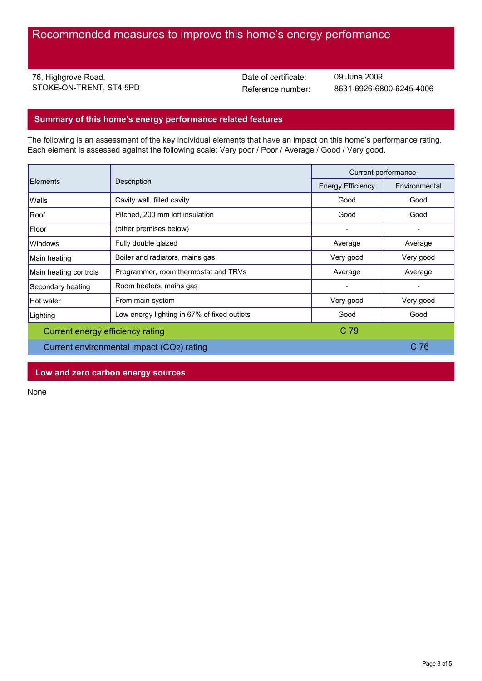76, Highgrove Road, STOKE-ON-TRENT, ST4 5PD Date of certificate:

Reference number: 8631-6926-6800-6245-4006 09 June 2009

## **Summary of this home's energy performance related features**

The following is an assessment of the key individual elements that have an impact on this home's performance rating. Each element is assessed against the following scale: Very poor / Poor / Average / Good / Very good.

| Elements                                  | Description                                 | Current performance      |                 |
|-------------------------------------------|---------------------------------------------|--------------------------|-----------------|
|                                           |                                             | <b>Energy Efficiency</b> | Environmental   |
| Walls                                     | Cavity wall, filled cavity                  | Good                     | Good            |
| Roof                                      | Pitched, 200 mm loft insulation             | Good                     | Good            |
| Floor                                     | (other premises below)                      |                          |                 |
| <b>Windows</b>                            | Fully double glazed                         | Average                  | Average         |
| Main heating                              | Boiler and radiators, mains gas             | Very good                | Very good       |
| Main heating controls                     | Programmer, room thermostat and TRVs        | Average                  | Average         |
| Secondary heating                         | Room heaters, mains gas                     |                          |                 |
| Hot water                                 | From main system                            | Very good                | Very good       |
| Lighting                                  | Low energy lighting in 67% of fixed outlets | Good                     | Good            |
| Current energy efficiency rating          |                                             | C <sub>79</sub>          |                 |
| Current environmental impact (CO2) rating |                                             |                          | C <sub>76</sub> |

## **Low and zero carbon energy sources**

None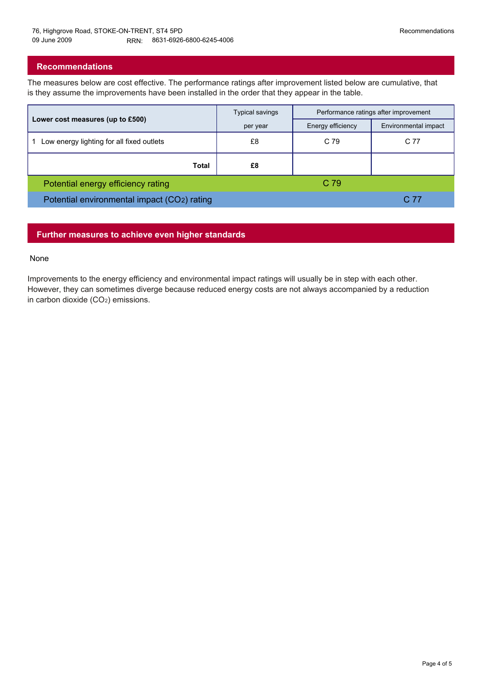## **Recommendations**

The measures below are cost effective. The performance ratings after improvement listed below are cumulative, that is they assume the improvements have been installed in the order that they appear in the table.

|                                             | Typical savings | Performance ratings after improvement |                      |
|---------------------------------------------|-----------------|---------------------------------------|----------------------|
| Lower cost measures (up to £500)            | per year        | Energy efficiency                     | Environmental impact |
| Low energy lighting for all fixed outlets   | £8              | C 79                                  | C 77                 |
| Total                                       | £8              |                                       |                      |
| Potential energy efficiency rating          |                 | C <sub>79</sub>                       |                      |
| Potential environmental impact (CO2) rating |                 |                                       | C 77                 |

### **Further measures to achieve even higher standards**

#### None

Improvements to the energy efficiency and environmental impact ratings will usually be in step with each other. However, they can sometimes diverge because reduced energy costs are not always accompanied by a reduction in carbon dioxide (CO2) emissions.